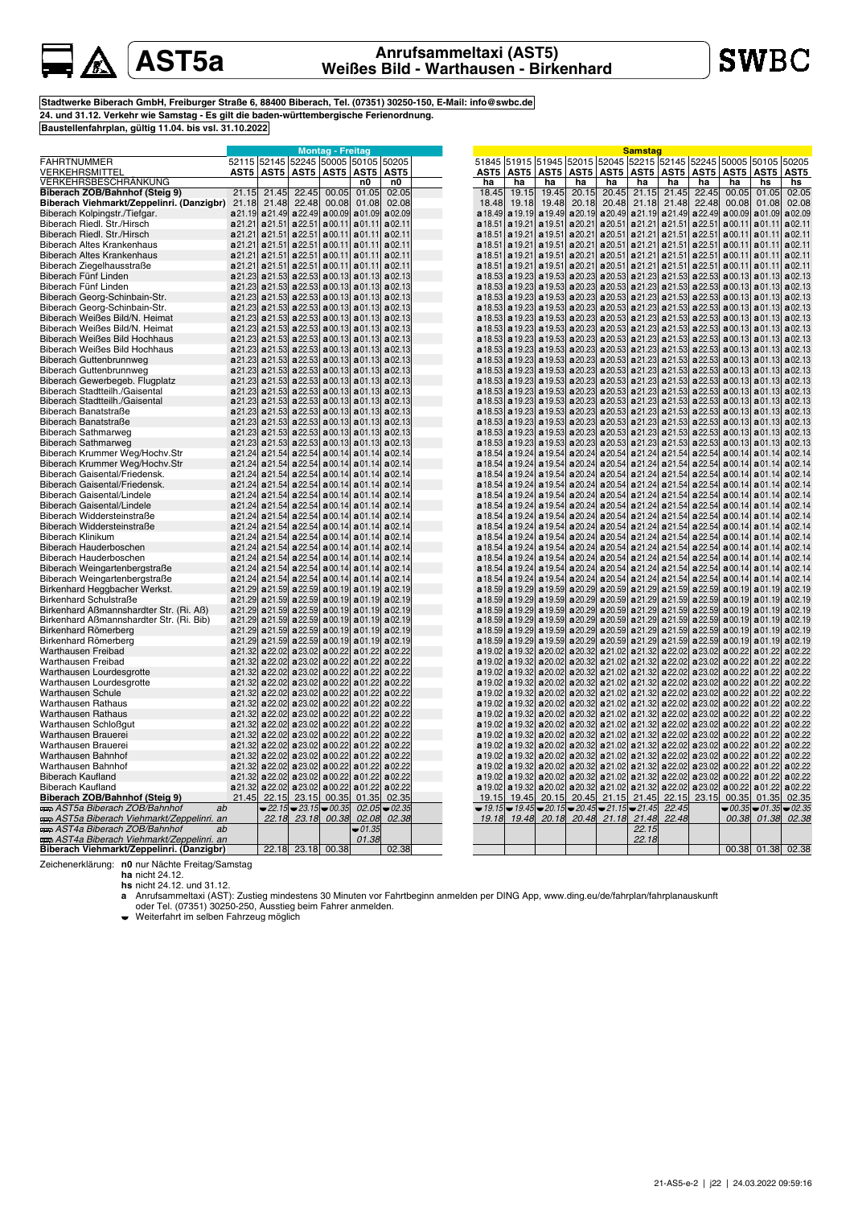## **AST5a Anrufsammeltaxi (AST5) Weißes Bild - Warthausen - Birkenhard**

**hs** 01.05 01.08 **a**01.09 **a**01.11 **a**01.11 **a**01.11 **a**01.11 **a**01.11 **a**01.13 **a**01.13

**hs** 02.05 02.08 **a**02.09 **a**02.11 **a**02.11 **a**02.11 **a**02.11 **a**02.11 **a**02.13 **a**02.13

**a**02.13 **a**02.13 **a**02.13

**a**02.13 **a**02.13

**a**02.13 **a**02.13 **a**02.13

**a**02.14 **a**02.14 **a**02.14 **a**02.14 **a**02.14

**a**02.14 **a**02.14 **a**02.14 **a**02.14 **a**02.14

**a**02.14 **a**02.14 **a**02.14 **a**02.19 **a**02.19

**a**02.19 **a**02.19

**a**02.22

**a** 02.22 **a**02.22 **a**02.22 **a**02.22 **a**02.22 **a** 02.22 **a**02.22 **a**02.22 **a**02.22 **a**02.22 **a** 02.22 02.35  $-02.35$ 02.38

**a**01.13 **a**01.13 **a**01.13

**a**01.13 **a**01.13 **a**01.13

**a**01.14 **a**01.14 **a**01.14 **a**01.14 **a**01.14

**a**01.14 **a**01.14 **a**01.14 **a**01.14 **a**01.14

**a**01.14 **a**01.14 **a**01.14 **a**01.19 **a**01.19

<mark>Samstag</mark><br>52045 |52215 |52145 |52245 |50005 |50105 |50205

**a**21.51 **a**21.51 **a**22.51 **a**22.51 **a**00.11 **a**00.11 **a**21.51 **a**22.51 **a**00.11 **a**21.51 **a**22.51 **a**00.11

**a**22.51 **a**22.53 **a**22.53

**AST5 AST5 AST5 AST5 AST5**

00.05 00.08 **a**00.09

**a**00.11 **a**00.13 **a**00.13

**a**00.13 **a**00.13 **a**00.13

**a**00.13 **a**00.13 **a**00.13

**a**00.14 **a**00.14 **a**00.14 **a**00.14 **a**00.14

**a**00.14 **a**00.14 **a**00.14 **a**00.14 **a**00.14

**a**00.14 **a**00.14 **a**00.14 **a**00.19 **a**00.19

**ha ha** 22.45 22.48 **a**22.49

**a**20.53 **a**20.53 **a**21.23 **a**21.23 **a**21.53 **a**21.53 **a**22.53 **a**22.53 **a**00.13 **a**00.13 **a**01.13 **a**01.13 **a**02.13 **a**02.13 **a**20.53 **a**21.23 **a**21.53 **a**22.53 **a**00.13 **a**01.13 **a**02.13 **a**20.53 **a**20.53 **a**21.23 **a**21.23 **a**21.53 **a**21.53 **a**22.53 **a**22.53 **a**00.13 **a**00.13 **a**01.13 **a**01.13 **a**20.53 **a**20.53 **a**21.23 **a**21.23 **a**21.53 **a**21.53 **a**22.53 **a**22.53 **a**00.13 **a**00.13 **a**01.13 **a**01.13 **a**02.13 **a**02.13 **a**20.53 **a**20.53 **a**21.23 **a**21.23 **a**21.53 **a**21.53 **a**22.53 **a**22.53 **a**00.13 **a**00.13 **a**01.13 **a**01.13 **a**02.13 **a**02.13

**a**22.53 **a**22.53 **a**22.53

**a**22.54 **a**22.54 **a**22.54 **a**22.54 **a**22.54

**a**22.54 **a**22.54 **a**22.54 **a**22.54 **a**22.54

**a**22.54 **a**22.54 **a**22.54 **a**22.59 **a**22.59

**a**22.53 **a**22.53 **a**22.53

**a**20.59 **a**20.59 **a**21.29 **a**21.29 **a**21.59 **a**21.59 **a**22.59 **a**22.59 **a**00.19 **a**00.19 **a**01.19 **a**01.19 **a**20.59 **a**20.59 **a**21.29 **a**21.29 **a**21.59 **a**21.59 **a**22.59 **a**22.59 **a**00.19 **a**00.19 **a**01.19 **a**01.19 **a**02.19 **a**02.19 **a**21.02 **a**21.32 **a**22.02 **a**23.02 **a**00.22 **a**01.22 **a**21.02 **a**21.02 **a**21.32 **a**21.32 **a**22.02 **a**22.02 **a**23.02 **a**23.02 **a**00.22 **a**00.22 **a**01.22 **a**01.22 **a**02.22 **a**02.22 **a**21.02 **a**21.32 **a**22.02 **a**23.02 **a**00.22 **a**01.22 **a**21.02 **a**21.32 **a**22.02 **a**23.02 **a**00.22 **a**01.22 **a**21.02 **a**21.02 **a**21.32 **a**21.32 **a**22.02 **a**22.02 **a**23.02 **a**23.02 **a**00.22 **a**00.22 **a**01.22 **a**01.22

**a**21.02 **a**21.32 **a**22.02 **a**23.02 **a**00.22 **a**01.22

**a**23.02 **a**23.02 23.15

**a**23.02 **a**00.22 **a**01.22 **a**23.02 **a**00.22 **a**01.22 **a**23.02 **a**00.22 **a**01.22 **a**23.02 **a**00.22 **a**01.22

**a**00.22 **a**00.22 **a**01.22 00.35 00.35 00.38 01.35 01.38

00.38 01.38 02.38

 $|a_{01.22}|$ 01.35

**a**22.02 **a**22.02 **a**22.02 **a**22.02 **a**22.02 **a**22.02 22.15  $\frac{22.45}{22.45}$ 22.48

**AST5 AST5 ha** 20.45 20.48 **a**20.49

**ha** 21.15 21.18 **a**21.19 **ha** 21.45 21.48 **a**21.49

**a**21.51 **a**21.53 **a**21.53

**a**21.53 **a**21.53 **a**21.53

**a**21.53 **a**21.53 **a**21.53

**a**21.54 **a**21.54 **a**21.54 **a**21.54 **a**21.54

**a**21.54 **a**21.54 **a**21.54 **a**21.54 **a**21.54

**a**21.54 **a**21.54 **a**21.54 **a**21.59 **a**21.59

**a**21.21 **a**21.23 **a**21.23

**a**21.23 **a**21.23 **a**21.23

**a**21.23 **a**21.23 **a**21.23

**a**21.24 **a**21.24 **a**21.24 **a**21.24 **a**21.24

**a**21.24 **a**21.24 **a**21.24 **a**21.24 **a**21.24

**a**21.24 **a**21.24 **a**21.24 **a**21.29 **a**21.29

**a**20.51 **a**20.51 **a**21.21 **a**21.21 **a**20.51 **a**21.21 **a**20.51 **a**21.21 **a**20.51 **a**20.53 **a**20.53

**a**20.53 **a**20.53 **a**20.53

**a**20.53 **a**20.53 **a**20.53

**a**20.54 **a**20.54 **a**20.54 **a**20.54 **a**20.54

**a**20.54 **a**20.54 **a**20.54 **a**20.54 **a**20.54

**a**20.54 **a**20.54 **a**20.54 **a**20.59 **a**20.59

**a**21.02 **a**21.32

**a**21.02 **a**21.32 **a**21.02 **a**21.32 **a**21.02 **a**21.32 **a**21.02 **a**21.02 21.15 21.15 21.45 21.18

**a**21.32 **a**21.32 21.45 21.48  $\frac{22.15}{22.15}$  $22.18$ 

### **Stadtwerke Biberach GmbH, Freiburger Straße 6, 88400 Biberach, Tel. (07351) 30250-150, E-Mail: info@swbc.de 24. und 31.12. Verkehr wie Samstag - Es gilt die baden-württembergische Ferienordnung. Baustellenfahrplan, gültig 11.04. bis vsl. 31.10.2022**

|                                           |         |                         |                   | <b>Montag - Freitag</b>  |                          |                 |  |         |                                                                   |                     |                   |
|-------------------------------------------|---------|-------------------------|-------------------|--------------------------|--------------------------|-----------------|--|---------|-------------------------------------------------------------------|---------------------|-------------------|
| <b>FAHRTNUMMER</b>                        | 52115   | 52145 52245             |                   |                          | 50005 50105 50205        |                 |  |         | 51845 51915 51945 52015                                           |                     |                   |
| VERKEHRSMITTEL                            | AST5    |                         | AST5 AST5         |                          | AST5 AST5                | AST5            |  | AST5    |                                                                   | AST5   AST5   AST5  |                   |
| VERKEHRSBESCHRÄNKUNG                      |         |                         |                   |                          | n0                       | n0              |  | ha      | ha                                                                | ha                  | ha                |
| Biberach ZOB/Bahnhof (Steig 9)            | 21.15   | 21.45                   | 22.45             | 00.05                    | 01.05                    | 02.05           |  | 18.45   | 19.15                                                             | 19.45               | 20.15             |
| Biberach Viehmarkt/Zeppelinri. (Danzigbr) | 21.18   | 21.48                   | 22.48             | 00.08                    | 01.08                    | 02.08           |  | 18.48   | 19.18                                                             | 19.48               | 20.18             |
| Biberach Kolpingstr./Tiefgar.             | a21.19  | a21.49                  | a22.49            |                          | $a00.09$ $a01.09$        | a02.09          |  |         | <b>a</b> 18.49 <b>a</b> 19.19                                     | a19.49              | a20.19            |
| Biberach Riedl. Str./Hirsch               | a21.21  | a21.51                  | a22.51            | a00.11                   | a01.11                   | a02.11          |  | a 18.51 | a19.21                                                            | a19.51              | a20.21            |
| Biberach Riedl, Str./Hirsch               | a21.21  | a21.51                  | a22.51            |                          | $a00.11$ $a01.11$        | a02.11          |  | a 18.51 | a 19.21                                                           |                     | a 19.51 a 20.21   |
| <b>Biberach Altes Krankenhaus</b>         | a21.21  | a21.51                  | a22.51            |                          | $a00.11$ $a01.11$        | a02.11          |  | a 18.51 | a19.21                                                            | $a 19.51$ $a 20.21$ |                   |
| <b>Biberach Altes Krankenhaus</b>         | a21.21  | a21.51                  | a22.51            |                          | $a00.11$ $a01.11$        | a02.11          |  | a 18.51 | a19.21                                                            |                     | $a 19.51$ a 20.21 |
| Biberach Ziegelhausstraße                 | a21.21  | a21.51                  | a22.51            | a00.11                   | a01.11                   | a02.11          |  | a 18.51 | a19.21                                                            |                     | a 19.51 a 20.21   |
| Biberach Fünf Linden                      | a 21.23 | a21.53                  | a22.53            |                          | $a00.13$ $a01.13$        | a02.13          |  |         | a 18.53 a 19.23 a 19.53 a 20.23                                   |                     |                   |
| Biberach Fünf Linden                      | a 21.23 | a21.53                  | a22.53            |                          | $a00.13$ a01.13 a02.13   |                 |  |         | a 18.53 a 19.23 a 19.53 a 20.23                                   |                     |                   |
| Biberach Georg-Schinbain-Str.             | a 21.23 | a21.53                  | a22.53            |                          | $a00.13$ $a01.13$        | a02.13          |  |         | a 18.53 a 19.23                                                   | a 19.53 a 20.23     |                   |
| Biberach Georg-Schinbain-Str.             | a 21.23 | a21.53                  | a22.53            |                          | $a00.13$ a01.13 a02.13   |                 |  |         | a 18.53 a 19.23                                                   | a 19.53             | a 20.23           |
| Biberach Weißes Bild/N. Heimat            | a 21.23 |                         | $a21.53$ $a22.53$ |                          | $a00.13$ a01.13 a02.13   |                 |  |         | a 18.53 a 19.23                                                   | a 19.53 a 20.23     |                   |
| Biberach Weißes Bild/N. Heimat            |         | a 21.23 a 21.53 a 22.53 |                   |                          | $a00.13$ a01.13 a02.13   |                 |  |         | <b>a</b> 18.53   <b>a</b> 19.23   <b>a</b> 19.53   <b>a</b> 20.23 |                     |                   |
| <b>Biberach Weißes Bild Hochhaus</b>      |         | a 21.23 a 21.53 a 22.53 |                   |                          | $a00.13$ a01.13 a02.13   |                 |  |         | <b>a</b> 18.53 <b>a</b> 19.23                                     | a 19.53 a 20.23     |                   |
| Biberach Weißes Bild Hochhaus             |         | a 21.23 a 21.53 a 22.53 |                   |                          | $a00.13$ a01.13 a02.13   |                 |  |         | <b>a</b> 18.53 <b>a</b> 19.23                                     | a 19.53 a 20.23     |                   |
| <b>Biberach Guttenbrunnweg</b>            | a 21.23 | a21.53                  | a22.53            |                          | $a00.13$ a 01.13 a 02.13 |                 |  | a 18.53 | a 19.23                                                           | a 19.53             | a20.23            |
| <b>Biberach Guttenbrunnweg</b>            | a21.23  | a21.53                  | a22.53            |                          | $a00.13$ $a01.13$        | a02.13          |  |         | a 18.53 a 19.23                                                   | a 19.53 a 20.23     |                   |
| Biberach Gewerbegeb. Flugplatz            | a21.23  | a21.53                  | a22.53            |                          | $a00.13$ a01.13 a02.13   |                 |  |         | <b>a</b> 18.53 <b>a</b> 19.23 <b>a</b> 19.53 <b>a</b> 20.23       |                     |                   |
| Biberach Stadtteilh./Gaisental            | a21.23  | a21.53                  | a22.53            |                          | $a00.13$ a01.13 a02.13   |                 |  |         | <b>a</b> 18.53 <b>a</b> 19.23 <b>a</b> 19.53 <b>a</b> 20.23       |                     |                   |
| Biberach Stadtteilh./Gaisental            | a 21.23 | a21.53                  | a22.53            |                          | $a00.13$ $a01.13$        | a02.13          |  |         | a 18.53 a 19.23                                                   | a 19.53 a 20.23     |                   |
| Biberach Banatstraße                      | a 21.23 | a21.53                  | a22.53            |                          | $a00.13$ a01.13 a02.13   |                 |  |         | <b>a</b> 18.53 <b>a</b> 19.23                                     | a 19.53             | a20.23            |
| Biberach Banatstraße                      | a 21.23 |                         | $a21.53$ $a22.53$ |                          | $a00.13$ a01.13 a02.13   |                 |  |         | <b>a</b> 18.53 <b>a</b> 19.23                                     | a 19.53 a 20.23     |                   |
| Biberach Sathmarweg                       |         | a 21.23 a 21.53 a 22.53 |                   |                          | $a00.13$ a01.13 a02.13   |                 |  |         | <b>a</b> 18.53   <b>a</b> 19.23   <b>a</b> 19.53   <b>a</b> 20.23 |                     |                   |
| Biberach Sathmarweg                       |         | a 21.23 a 21.53 a 22.53 |                   |                          | $a00.13$ a01.13 a02.13   |                 |  |         | <b>a</b> 18.53 a 19.23 a 19.53 a 20.23                            |                     |                   |
| Biberach Krummer Weg/Hochv.Str            |         | a 21.24 a 21.54 a 22.54 |                   |                          | $a00.14$ $a01.14$        | a02.14          |  | a 18.54 | a 19.24                                                           | a 19.54 a 20.24     |                   |
| Biberach Krummer Weg/Hochv.Str            | a21.24  | a21.54                  | a22.54            |                          | $a00.14$ a01.14 a02.14   |                 |  | a 18.54 | a 19.24                                                           | a 19.54 a 20.24     |                   |
| Biberach Gaisental/Friedensk.             | a21.24  | a21.54                  | a22.54            |                          | $a00.14$ $a01.14$        | a02.14          |  | a 18.54 | a19.24                                                            | $a 19.54$ $a 20.24$ |                   |
| Biberach Gaisental/Friedensk.             | a21.24  | a21.54                  | a22.54            |                          | $a00.14$ $a01.14$        | a02.14          |  | a 18.54 | a 19.24                                                           | a 19.54 a 20.24     |                   |
| Biberach Gaisental/Lindele                | a21.24  | a21.54                  | a22.54            |                          | $a00.14$ a01.14 a02.14   |                 |  |         | a 18.54 a 19.24 a 19.54 a 20.24                                   |                     |                   |
| <b>Biberach Gaisental/Lindele</b>         | a21.24  | a21.54                  | a22.54            |                          | $a00.14$ $a01.14$        | a02.14          |  | a 18.54 | a19.24                                                            | a 19.54 a 20.24     |                   |
| Biberach Widdersteinstraße                | a21.24  | a21.54                  | a22.54            |                          | $a00.14$ $a01.14$        | a02.14          |  | a 18.54 | a 19.24                                                           | $a 19.54$ $a 20.24$ |                   |
| Biberach Widdersteinstraße                | a21.24  |                         | $a21.54$ a22.54   |                          | $a00.14$ $a01.14$        | a02.14          |  |         | a 18.54 a 19.24 a 19.54 a 20.24                                   |                     |                   |
| <b>Biberach Klinikum</b>                  |         | a21.24 a21.54 a22.54    |                   |                          | $a00.14$ $a01.14$        | a02.14          |  |         | <b>a</b> 18.54 <b>a</b> 19.24 <b>a</b> 19.54 <b>a</b> 20.24       |                     |                   |
| Biberach Hauderboschen                    |         | a 21.24 a 21.54 a 22.54 |                   |                          | $a00.14$ a01.14 a02.14   |                 |  |         | <b>a</b> 18.54 <b>a</b> 19.24 <b>a</b> 19.54 <b>a</b> 20.24       |                     |                   |
| Biberach Hauderboschen                    |         | a 21.24 a 21.54         | a22.54            |                          | $a00.14$ $a01.14$        | a02.14          |  | a 18.54 | a19.24                                                            | a 19.54 a 20.24     |                   |
| Biberach Weingartenbergstraße             | a21.24  | a21.54                  | a22.54            |                          | $a00.14$ a01.14 a02.14   |                 |  | a 18.54 | a 19.24                                                           | a 19.54 a 20.24     |                   |
| Biberach Weingartenbergstraße             | a21.24  | a21.54                  | a22.54            |                          | $a00.14$ $a01.14$        | a02.14          |  | a 18.54 | a 19.24                                                           | a 19.54 a 20.24     |                   |
| Birkenhard Heggbacher Werkst.             | a21.29  | a21.59                  | a22.59            |                          | $a00.19$ $a01.19$        | a02.19          |  |         | a 18.59 a 19.29 a 19.59 a 20.29                                   |                     |                   |
| Birkenhard Schulstraße                    | a 21.29 | a21.59                  | a22.59            |                          | $a00.19$ $a01.19$        | a02.19          |  |         | a 18.59 a 19.29 a 19.59 a 20.29                                   |                     |                   |
| Birkenhard Aßmannshardter Str. (Ri. Aß)   | a21.29  | a21.59                  | a22.59            |                          | $a00.19$ $a01.19$        | a02.19          |  | a 18.59 | a 19.29                                                           | a 19.59             | a20.29            |
| Birkenhard Aßmannshardter Str. (Ri. Bib)  | a21.29  | a21.59                  | a22.59            |                          | $a00.19$ a01.19 a02.19   |                 |  |         | <b>a</b> 18.59 <b>a</b> 19.29                                     | a19.59              | a20.29            |
| Birkenhard Römerberg                      | a 21.29 | a21.59                  | a22.59            |                          | $a00.19$ a01.19 a02.19   |                 |  |         | <b>a</b> 18.59 <b>a</b> 19.29 <b>a</b> 19.59 <b>a</b> 20.29       |                     |                   |
| Birkenhard Römerberg                      | a21.29  |                         | $a21.59$ $a22.59$ |                          | $a00.19$ a01.19 a02.19   |                 |  |         | <b>a</b> 18.59   <b>a</b> 19.29   <b>a</b> 19.59   <b>a</b> 20.29 |                     |                   |
| Warthausen Freibad                        | a 21.32 |                         | $a22.02$ a 23.02  |                          | $a00.22$ $a01.22$        | a02.22          |  |         | <b>a</b> 19.02 a 19.32 a 20.02 a 20.32                            |                     |                   |
| Warthausen Freibad                        | a 21.32 |                         | $a22.02$ $a23.02$ | a00.22                   | a01.22                   | a02.22          |  | a 19.02 | a 19.32                                                           | a 20.02 a 20.32     |                   |
| Warthausen Lourdesgrotte                  | a21.32  |                         | a22.02 a23.02     | a00.22                   | a01.22                   | a02.22          |  |         | a 19.02 a 19.32                                                   | a 20.02 a 20.32     |                   |
| Warthausen Lourdesgrotte                  | a21.32  | a22.02                  | a23.02            | a00.22                   | a01.22                   | a02.22          |  |         | a 19.02 a 19.32 a 20.02 a 20.32                                   |                     |                   |
| Warthausen Schule                         | a21.32  | a22.02                  | a23.02            | a00.22                   | a01.22                   | a02.22          |  |         | a 19.02 a 19.32 a 20.02 a 20.32                                   |                     |                   |
| <b>Warthausen Rathaus</b>                 | a 21.32 | a22.02                  | a23.02            | a00.22                   | a01.22                   | a02.22          |  |         | a 19.02 a 19.32 a 20.02 a 20.32                                   |                     |                   |
| Warthausen Rathaus                        | a 21.32 | a22.02                  | a23.02            | a00.22                   | a01.22                   | a02.22          |  | a 19.02 | a 19.32                                                           | $a20.02$ $a20.32$   |                   |
| Warthausen Schloßgut                      | a 21.32 |                         | a22.02 a23.02     | a00.22                   | a01.22                   | a02.22          |  |         | a 19.02 a 19.32 a 20.02 a 20.32                                   |                     |                   |
| Warthausen Brauerei                       | a 21.32 |                         | $a22.02$ $a23.02$ | a00.22                   | a01.22                   | a02.22          |  |         | a 19.02 a 19.32 a 20.02 a 20.32                                   |                     |                   |
| Warthausen Brauerei                       | a 21.32 |                         | $a22.02$ $a23.02$ | a00.22                   | a01.22                   | a02.22          |  |         | a 19.02 a 19.32 a 20.02 a 20.32                                   |                     |                   |
| Warthausen Bahnhof                        | a 21.32 |                         | $a22.02$ $a23.02$ | a00.22                   | a01.22                   | a02.22          |  |         | a 19.02 a 19.32 a 20.02 a 20.32                                   |                     |                   |
| Warthausen Bahnhof                        | a21.32  |                         | a22.02 a23.02     | a00.22                   | a01.22                   | a02.22          |  | a 19.02 | a 19.32                                                           | $a20.02$ a 20.32    |                   |
| <b>Biberach Kaufland</b>                  | a21.32  |                         | a22.02 a23.02     | a00.22                   | a01.22                   | a02.22          |  |         | <b>a</b> 19.02   <b>a</b> 19.32   <b>a</b> 20.02   <b>a</b> 20.32 |                     |                   |
| <b>Biberach Kaufland</b>                  | a 21.32 |                         | $a22.02$ $a23.02$ | a00.22                   | a01.22                   | a02.22          |  |         | a 19.02 a 19.32 a 20.02 a 20.32                                   |                     |                   |
| Biberach ZOB/Bahnhof (Steig 9)            | 21.45   | 22.15                   | 23.15             | 00.35                    | 01.35                    | 02.35           |  |         | 19.15 19.45 20.15 20.45                                           |                     |                   |
| AST5a Biberach ZOB/Bahnhof<br>ab          |         |                         |                   | $-22.15 - 23.15 - 00.35$ |                          | $02.05 - 02.35$ |  |         | $\bullet$ 19.15 $\bullet$ 19.45 $\bullet$ 20.15 $\bullet$ 20.45   |                     |                   |
| AST5a Biberach Viehmarkt/Zeppelinri. an   |         |                         | 22.18 23.18       | 00.38                    |                          | 02.08 02.38     |  | 19.18   |                                                                   | 19.48 20.18 20.48   |                   |
| AST4a Biberach ZOB/Bahnhof<br>ab          |         |                         |                   |                          | $-01.35$                 |                 |  |         |                                                                   |                     |                   |
| AST4a Biberach Viehmarkt/Zeppelinri. an   |         |                         |                   |                          | 01.38                    |                 |  |         |                                                                   |                     |                   |
| Biberach Viehmarkt/Zeppelinri. (Danzigbr) |         |                         |                   | 22.18 23.18 00.38        |                          | 02.38           |  |         |                                                                   |                     |                   |
|                                           |         |                         |                   |                          |                          |                 |  |         |                                                                   |                     |                   |

Zeichenerklärung: **n0** nur Nächte Freitag/Samstag

**ha** nicht 24.12.

**hs** nicht 24.12. und 31.12.

**a** Anrufsammeltaxi (AST): Zustieg mindestens 30 Minuten vor Fahrtbeginn anmelden per DING App, www.ding.eu/de/fahrplan/fahrplanauskunft oder Tel. (07351) 30250-250, Ausstieg beim Fahrer anmelden.

Weiterfahrt im selben Fahrzeug möglich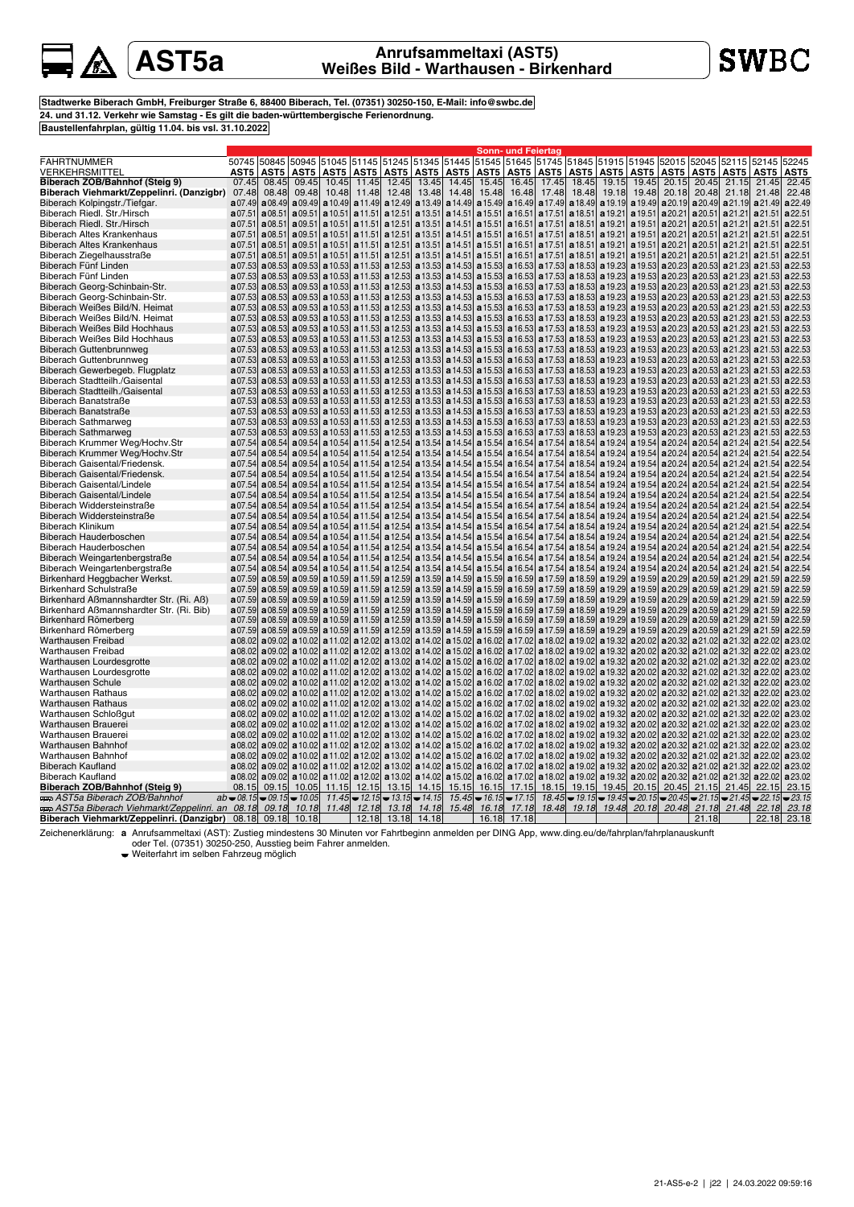# **A**

## **AST5a Anrufsammeltaxi (AST5) Weißes Bild - Warthausen - Birkenhard**

**Stadtwerke Biberach GmbH, Freiburger Straße 6, 88400 Biberach, Tel. (07351) 30250-150, E-Mail: info@swbc.de 24. und 31.12. Verkehr wie Samstag - Es gilt die baden-württembergische Ferienordnung. Baustellenfahrplan, gültig 11.04. bis vsl. 31.10.2022**

|                                                                |         |        |                              |                  |               |                               |                                                                                                                         |         |         | Sonn- und Feiertag                                       |                                                                                                                                                 |                                       |                               |                     |                                                                                                                                                         |                   |             |                               |             |
|----------------------------------------------------------------|---------|--------|------------------------------|------------------|---------------|-------------------------------|-------------------------------------------------------------------------------------------------------------------------|---------|---------|----------------------------------------------------------|-------------------------------------------------------------------------------------------------------------------------------------------------|---------------------------------------|-------------------------------|---------------------|---------------------------------------------------------------------------------------------------------------------------------------------------------|-------------------|-------------|-------------------------------|-------------|
| FAHRTNUMMER                                                    | 50745   | 50845  |                              |                  |               |                               | 50945 51045 51145 51245 51345 51445 51545 51645 51745                                                                   |         |         |                                                          |                                                                                                                                                 |                                       |                               | 51845  51915  51945 | 52015                                                                                                                                                   | 52045             | 52115       | 52145                         | 52245       |
| VERKEHRSMITTEL                                                 | AST5    | AST5   | AST5                         | AST5             | AST5          | AST5                          | AST5                                                                                                                    | AST5    | AST5    | AST5                                                     |                                                                                                                                                 |                                       |                               |                     | AST5   AST5   AST5   AST5   AST5   AST5                                                                                                                 |                   |             | AST5   AST5                   | AST5        |
| Biberach ZOB/Bahnhof (Steig 9)                                 | 07.45   | 08.45  | 09.45                        | 10.45            | 11.45         | 12.45                         | 13.45                                                                                                                   | 14.45   | 15.45   | 16.45                                                    | 17.45                                                                                                                                           | 18.45                                 | 19.15                         | 19.45               | 20.15                                                                                                                                                   | 20.45             | 21.15       | 21.45                         | 22.45       |
| Biberach Viehmarkt/Zeppelinri. (Danzigbr)                      | 07.48   | 08.48  | 09.48                        | 10.48            | 11.48         | 12.48                         | 13.48                                                                                                                   | 14.48   | 15.48   | 16.48                                                    | 17.48                                                                                                                                           | 18.48                                 | 19.18                         | 19.48               | 20.18                                                                                                                                                   | 20.48             |             | 21.18 21.48                   | 22.48       |
| Biberach Kolpingstr./Tiefgar.                                  | a07.49  | a08.49 | a09.49                       |                  |               |                               | a 10.49 a 11.49 a 12.49 a 13.49                                                                                         |         |         | $a14.49$ a 15.49 a 16.49                                 |                                                                                                                                                 | a 17.49 a 18.49                       | a 19.19                       |                     | a 19.49 a 20.19 a 20.49 a 21.19 a 21.49                                                                                                                 |                   |             |                               | a 22.49     |
| Biberach Riedl. Str./Hirsch                                    | a07.5   | a08.51 | a09.51                       | a 10.51          | a 11.51       | a 12.51                       | a 13.51                                                                                                                 | a14.51  |         | a15.51 a16.51                                            |                                                                                                                                                 | $a17.51$ a 18.51                      | a19.21                        |                     | a 19.51 a 20.21 a 20.51 a 21.21 a 21.51                                                                                                                 |                   |             |                               | a 22.51     |
| Biberach Riedl. Str./Hirsch                                    | a07.51  | a08.51 | a09.51                       | a 10.51          | a 11.51       | a 12.51                       | a 13.51                                                                                                                 |         |         | $a14.51$ a 15.51 a 16.51                                 |                                                                                                                                                 | $a17.51$ a 18.51                      | a 19.21                       |                     | $\mathbf{a}$ 19.51 $\mathbf{a}$ 20.21 $\mathbf{a}$ 20.51                                                                                                |                   |             | a21.21 a21.51                 | a 22.51     |
| Biberach Altes Krankenhaus                                     | a07.51  | a08.51 |                              | $a09.51$ a 10.51 | a 11.51       |                               | a12.51 a13.51                                                                                                           |         |         | $\mathbf{a}$ 14.51 $\mathbf{a}$ 15.51 $\mathbf{a}$ 16.51 |                                                                                                                                                 | $a17.51$ a 18.51                      | a 19.21                       |                     | a 19.51 a 20.21 a 20.51                                                                                                                                 |                   |             | $a21.21$ $a21.51$             | a 22.51     |
| Biberach Altes Krankenhaus                                     | a07.51  | a08.51 |                              | $a09.51$ a 10.51 | a 11.51       |                               | a12.51 a13.51                                                                                                           | a14.51  |         | $\mathbf{a}$ 15.51 $\mathbf{a}$ 16.51                    | a17.51                                                                                                                                          | a 18.51                               | a 19.21                       |                     | a 19.51 a 20.21 a 20.51                                                                                                                                 |                   |             | $a21.21$ $a21.51$             | a 22.51     |
| Biberach Ziegelhausstraße                                      | a07.51  | a08.51 |                              | $a09.51$ a 10.51 | a 11.51       | a 12.51                       | a 13.51                                                                                                                 | a14.51  |         | a15.51 a16.51                                            |                                                                                                                                                 | $a17.51$ a 18.51                      |                               |                     | a 19.21   a 19.51   a 20.21   a 20.51                                                                                                                   |                   |             | a 21.21 a 21.51               | a 22.51     |
| Biberach Fünf Linden                                           | a07.53  | a08.53 |                              |                  |               |                               | <b>a</b> 09.53 <b>a</b> 10.53 <b>a</b> 11.53 <b>a</b> 12.53 <b>a</b> 13.53 <b>a</b> 14.53 <b>a</b> 15.53 <b>a</b> 16.53 |         |         |                                                          | a 17.53                                                                                                                                         | a 18.53                               | a 19.23                       |                     | <b>a</b> 19.53 <b>a</b> 20.23 <b>a</b> 20.53 <b>a</b> 21.23 <b>a</b> 21.53                                                                              |                   |             |                               | a 22.53     |
| Biberach Fünf Linden                                           | a07.53  | a08.53 |                              |                  |               |                               |                                                                                                                         |         |         |                                                          | a 09.53 a 10.53 a 11.53 a 12.53 a 13.53 a 14.53 a 15.53 a 16.53 a 17.53 a 18.53                                                                 |                                       |                               |                     | a 19.23 a 19.53 a 20.23 a 20.53 a 21.23 a 21.53                                                                                                         |                   |             |                               | a 22.53     |
| Biberach Georg-Schinbain-Str.                                  | a07.53  |        |                              |                  |               |                               | a08.53 a09.53 a10.53 a11.53 a12.53 a13.53 a14.53 a15.53 a16.53                                                          |         |         |                                                          |                                                                                                                                                 | a 17.53 a 18.53                       |                               |                     | a 19.23 a 19.53 a 20.23 a 20.53 a 21.23 a 21.53                                                                                                         |                   |             |                               | a 22.53     |
| Biberach Georg-Schinbain-Str.                                  | a07.53  | a08.53 | a09.53                       | a10.53           |               |                               | <b>a</b> 11.53 <b>a</b> 12.53 <b>a</b> 13.53                                                                            |         |         | <b>a</b> 14.53 <b>a</b> 15.53 <b>a</b> 16.53             | a17.53                                                                                                                                          | a 18.53                               |                               |                     | <b>a</b> 19.23 <b>a</b> 19.53 <b>a</b> 20.23 <b>a</b> 20.53                                                                                             |                   |             | $a21.23$ $a21.53$             | a 22.53     |
| Biberach Weißes Bild/N. Heimat                                 | a07.53  | a08.53 |                              |                  |               |                               | a 09.53 a 10.53 a 11.53 a 12.53 a 13.53 a 14.53 a 15.53 a 16.53                                                         |         |         |                                                          |                                                                                                                                                 | a 17.53   a 18.53                     | a 19.23                       |                     | a 19.53 a 20.23 a 20.53 a 21.23 a 21.53                                                                                                                 |                   |             |                               | a 22.53     |
| Biberach Weißes Bild/N. Heimat                                 | a07.53  | a08.53 |                              | $a09.53$ a 10.53 |               |                               | a 11.53 a 12.53 a 13.53 a 14.53 a 15.53 a 16.53                                                                         |         |         |                                                          |                                                                                                                                                 |                                       |                               |                     | <b>a</b> 17.53 <b>a</b> 18.53 <b>a</b> 19.23 <b>a</b> 19.53 <b>a</b> 20.23 <b>a</b> 20.53                                                               |                   |             | <b>a</b> 21.23 <b>a</b> 21.53 | a 22.53     |
| Biberach Weißes Bild Hochhaus                                  | a07.53  | a08.53 |                              |                  |               |                               | <b>a</b> 09.53 <b>a</b> 10.53 <b>a</b> 11.53 <b>a</b> 12.53 <b>a</b> 13.53 <b>a</b> 14.53 <b>a</b> 15.53 <b>a</b> 16.53 |         |         |                                                          |                                                                                                                                                 | <b>a</b> 17.53 <b>a</b> 18.53         |                               |                     | <b>a</b> 19.23 <b>a</b> 19.53 <b>a</b> 20.23 <b>a</b> 20.53 <b>a</b> 21.23 <b>a</b> 21.53                                                               |                   |             |                               | a 22.53     |
| Biberach Weißes Bild Hochhaus                                  | a07.53  | a08.53 |                              |                  |               |                               |                                                                                                                         |         |         |                                                          | a 09.53 a 10.53 a 11.53 a 12.53 a 13.53 a 14.53 a 15.53 a 16.53 a 17.53 a 18.53                                                                 |                                       |                               |                     | <b>a</b> 19.23 <b>a</b> 19.53 <b>a</b> 20.23 <b>a</b> 20.53 <b>a</b> 21.23 <b>a</b> 21.53 <b>a</b> 22.53                                                |                   |             |                               |             |
| Biberach Guttenbrunnweg                                        | a07.53  |        |                              |                  |               |                               |                                                                                                                         |         |         |                                                          | a08.53 a09.53 a10.53 a11.53 a12.53 a13.53 a14.53 a15.53 a16.53 a17.53 a18.53 a19.23 a19.53 a20.23 a20.53 a20.53 a21.23 a21.53                   |                                       |                               |                     |                                                                                                                                                         |                   |             |                               | a 22.53     |
| Biberach Guttenbrunnweg                                        | a07.53  | a08.53 |                              |                  |               |                               | a 09.53 a 10.53 a 11.53 a 12.53 a 13.53 a 14.53 a 15.53 a 16.53                                                         |         |         |                                                          |                                                                                                                                                 | a 17.53 a 18.53                       |                               |                     | a 19.23 a 19.53 a 20.23 a 20.53                                                                                                                         |                   |             | a 21.23 a 21.53               | a 22.53     |
| Biberach Gewerbegeb. Flugplatz                                 | a 07.53 | a08.53 |                              |                  |               |                               | <b>a</b> 09.53 <b>a</b> 10.53 <b>a</b> 11.53 <b>a</b> 12.53 <b>a</b> 13.53 <b>a</b> 14.53 <b>a</b> 15.53                |         |         | a 16.53                                                  | a 17.53                                                                                                                                         | a 18.53                               |                               |                     | <b>a</b> 19.23 <b>a</b> 19.53 <b>a</b> 20.23 <b>a</b> 20.53                                                                                             |                   |             | a 21.23 a 21.53               | a 22.53     |
| Biberach Stadtteilh./Gaisental                                 | a07.53  | a08.53 |                              |                  |               |                               | <b>a</b> 09.53 <b>a</b> 10.53 <b>a</b> 11.53 <b>a</b> 12.53 <b>a</b> 13.53 <b>a</b> 14.53 <b>a</b> 15.53 <b>a</b> 16.53 |         |         |                                                          |                                                                                                                                                 | $\mathbf{a}$ 17.53 $\mathbf{a}$ 18.53 |                               |                     | <b>a</b> 19.23 <b>a</b> 19.53 <b>a</b> 20.23 <b>a</b> 20.53 <b>a</b> 21.23 <b>a</b> 21.53                                                               |                   |             |                               | a22.53      |
| Biberach Stadtteilh./Gaisental                                 | a07.53  | a08.53 |                              |                  |               |                               | a 09.53 a 10.53 a 11.53 a 12.53 a 13.53 a 14.53 a 15.53 a 16.53                                                         |         |         |                                                          |                                                                                                                                                 |                                       |                               |                     | a 17.53 a 18.53 a 19.23 a 19.53 a 20.23 a 20.53 a 21.23 a 21.53                                                                                         |                   |             |                               | a 22.53     |
| Biberach Banatstraße                                           | a07.53  | a08.53 |                              |                  |               |                               |                                                                                                                         |         |         |                                                          | a09.53 a10.53 a11.53 a12.53 a13.53 a14.53 a15.53 a16.53 a17.53 a18.53 a19.23 a19.53 a20.23 a20.53 a21.23 a21.53 a22.53                          |                                       |                               |                     |                                                                                                                                                         |                   |             |                               |             |
| Biberach Banatstraße                                           | a07.53  | a08.53 |                              |                  |               |                               | a 09.53 a 10.53 a 11.53 a 12.53 a 13.53 a 14.53 a 15.53 a 16.53                                                         |         |         |                                                          |                                                                                                                                                 | a 17.53 a 18.53                       |                               |                     | a 19.23 a 19.53 a 20.23 a 20.53 a 21.23 a 21.53                                                                                                         |                   |             |                               | a 22.53     |
| <b>Biberach Sathmarweg</b>                                     | a07.53  | a08.53 |                              | $a09.53$ a 10.53 |               |                               | a 11.53 a 12.53 a 13.53 a 14.53 a 15.53 a 16.53                                                                         |         |         |                                                          |                                                                                                                                                 |                                       |                               |                     | a 17.53 a 18.53 a 19.23 a 19.53 a 20.23 a 20.53 a 21.23 a 21.53                                                                                         |                   |             |                               | a 22.53     |
| <b>Biberach Sathmarweg</b>                                     | a07.53  | a08.53 |                              | $a09.53$ a 10.53 |               |                               | a 11.53 a 12.53 a 13.53                                                                                                 |         |         | $\mathbf{a}$ 14.53 $\mathbf{a}$ 15.53 $\mathbf{a}$ 16.53 | a 17.53                                                                                                                                         | a 18.53                               |                               |                     | a 19.23 a 19.53 a 20.23 a 20.53                                                                                                                         |                   |             | a 21.23 a 21.53               | a 22.53     |
| Biberach Krummer Weg/Hochv.Str                                 | a07.54  | a08.54 |                              |                  |               |                               | a 09.54 a 10.54 a 11.54 a 12.54 a 13.54                                                                                 | a14.54  |         | $a15.54$ a 16.54                                         |                                                                                                                                                 | $a 17.54$ a 18.54                     | a 19.24                       |                     | a 19.54 a 20.24 a 20.54 a 21.24 a 21.54                                                                                                                 |                   |             |                               | a 22.54     |
| Biberach Krummer Weg/Hochv.Str                                 | a07.54  | a08.54 | a09.54                       |                  |               |                               | a 10.54 a 11.54 a 12.54 a 13.54                                                                                         | a 14.54 | a15.54  | a 16.54                                                  | a 17.54                                                                                                                                         | a 18.54                               | a 19.24                       |                     | a 19.54 a 20.24 a 20.54 a 21.24 a 21.54                                                                                                                 |                   |             |                               | a 22.54     |
| Biberach Gaisental/Friedensk.                                  | a07.54  | a08.54 |                              | $a09.54$ a 10.54 |               |                               | a 11.54 a 12.54 a 13.54                                                                                                 | a 14.54 |         | a 15.54 a 16.54                                          |                                                                                                                                                 | <b>a</b> 17.54 <b>a</b> 18.54         |                               |                     | a 19.24 a 19.54 a 20.24 a 20.54 a 21.24 a 21.54                                                                                                         |                   |             |                               | a 22.54     |
| Biberach Gaisental/Friedensk.                                  | a07.54  | a08.54 |                              |                  |               |                               | a09.54 a10.54 a11.54 a12.54 a13.54                                                                                      |         |         | <b>a</b> 14.54 <b>a</b> 15.54 <b>a</b> 16.54             |                                                                                                                                                 |                                       |                               |                     | a 17.54 a 18.54 a 19.24 a 19.54 a 20.24 a 20.54 a 21.24 a 21.54                                                                                         |                   |             |                               | a 22.54     |
| Biberach Gaisental/Lindele                                     | a07.54  | a08.54 | a09.54                       |                  |               |                               | a 10.54 a 11.54 a 12.54 a 13.54                                                                                         | a14.54  |         | $a15.54$ a 16.54                                         | a 17.54                                                                                                                                         | a18.54                                | a 19.24                       |                     | a 19.54 a 20.24 a 20.54 a 21.24 a 21.54                                                                                                                 |                   |             |                               | a 22.54     |
| <b>Biberach Gaisental/Lindele</b>                              | a07.54  | a08.54 | a09.54                       | a 10.54          |               | $a11.54$ a 12.54              | a 13.54                                                                                                                 | a 14.54 |         | $a15.54$ a 16.54                                         | a 17.54                                                                                                                                         | a 18.54                               | a 19.24                       |                     | a 19.54 a 20.24 a 20.54                                                                                                                                 |                   |             | a 21.24 a 21.54               | a 22.54     |
| Biberach Widdersteinstraße                                     | a07.54  | a08.54 |                              |                  |               |                               | a09.54 a10.54 a11.54 a12.54 a13.54                                                                                      | a 14.54 | a15.54  | a 16.54                                                  | a17.54                                                                                                                                          | a18.54                                | a 19.24                       |                     | a 19.54 a 20.24 a 20.54                                                                                                                                 |                   |             | a 21.24 a 21.54               | a 22.54     |
| Biberach Widdersteinstraße                                     | a07.54  | a08.54 |                              |                  |               |                               | $a09.54$ a 10.54 a 11.54 a 12.54 a 13.54                                                                                | a 14.54 |         | <b>a</b> 15.54 <b>a</b> 16.54                            |                                                                                                                                                 | <b>a</b> 17.54 <b>a</b> 18.54         | a 19.24                       |                     | a 19.54 a 20.24 a 20.54 a 21.24 a 21.54                                                                                                                 |                   |             |                               | a 22.54     |
| <b>Biberach Klinikum</b>                                       | a07.54  | a08.54 | a09.54                       | a10.54           |               |                               | a 11.54 a 12.54 a 13.54                                                                                                 | a 14.54 | a15.54  | a 16.54                                                  | a 17.54                                                                                                                                         | a 18.54                               | a 19.24                       |                     | a 19.54 a 20.24 a 20.54 a 21.24 a 21.54                                                                                                                 |                   |             |                               | a 22.54     |
| <b>Biberach Hauderboschen</b>                                  | a07.54  | a08.54 | a09.54                       | a10.54           |               | <b>a</b> 11.54 <b>a</b> 12.54 | a 13.54                                                                                                                 | a 14.54 | a15.54  | a 16.54                                                  | a17.54                                                                                                                                          | a18.54                                | a 19.24                       |                     | a 19.54 a 20.24 a 20.54 a 21.24 a 21.54                                                                                                                 |                   |             |                               | a 22.54     |
| Biberach Hauderboschen                                         | a07.54  | a08.54 | a09.54                       |                  |               |                               | a 10.54 a 11.54 a 12.54 a 13.54                                                                                         | a14.54  |         |                                                          | <b>a</b> 15.54 <b>a</b> 16.54 <b>a</b> 17.54 <b>a</b> 18.54                                                                                     |                                       | a 19.24                       |                     | a 19.54 a 20.24 a 20.54 a 21.24 a 21.54                                                                                                                 |                   |             |                               | a 22.54     |
| Biberach Weingartenbergstraße                                  | a07.54  | a08.54 |                              |                  |               |                               | <b>a</b> 09.54 <b>a</b> 10.54 <b>a</b> 11.54 <b>a</b> 12.54 <b>a</b> 13.54                                              | a 14.54 | a 15.54 | a 16.54                                                  | a 17.54                                                                                                                                         |                                       | <b>a</b> 18.54 <b>a</b> 19.24 |                     | a 19.54 a 20.24 a 20.54 a 21.24 a 21.54                                                                                                                 |                   |             |                               | a 22.54     |
| Biberach Weingartenbergstraße                                  | a07.54  | a08.54 |                              | $a09.54$ a 10.54 |               |                               | a 11.54   a 12.54   a 13.54                                                                                             | a14.54  |         | a15.54 a16.54                                            | a17.54                                                                                                                                          | a18.54                                |                               |                     | <b>a</b> 19.24 <b>a</b> 19.54 <b>a</b> 20.24 <b>a</b> 20.54                                                                                             |                   |             | a 21.24 a 21.54               | a 22.54     |
| Birkenhard Heggbacher Werkst.                                  | a07.59  | a08.59 |                              |                  |               |                               | a 09.59 a 10.59 a 11.59 a 12.59 a 13.59                                                                                 |         |         | a 14.59 a 15.59 a 16.59                                  | a 17.59                                                                                                                                         | a 18.59                               | a 19.29                       |                     | a 19.59 a 20.29 a 20.59 a 21.29 a 21.59                                                                                                                 |                   |             |                               | a 22.59     |
| Birkenhard Schulstraße                                         | a07.59  | a08.59 |                              |                  |               |                               | <b>a</b> 09.59 <b>a</b> 10.59 <b>a</b> 11.59 <b>a</b> 12.59 <b>a</b> 13.59                                              |         |         | <b>a</b> 14.59 <b>a</b> 15.59 <b>a</b> 16.59             |                                                                                                                                                 | a 17.59 a 18.59                       | a 19.29                       |                     | a 19.59 a 20.29 a 20.59 a 21.29 a 21.59                                                                                                                 |                   |             |                               | a22.59      |
| Birkenhard Aßmannshardter Str. (Ri. Aß)                        | a07.59  | a08.59 |                              | $a09.59$ a 10.59 |               |                               | a 11.59   a 12.59   a 13.59                                                                                             |         |         | $a14.59$ a 15.59 a 16.59                                 | a 17.59                                                                                                                                         | a 18.59                               |                               |                     | a 19.29 a 19.59 a 20.29 a 20.59 a 21.29 a 21.59                                                                                                         |                   |             |                               | a 22.59     |
| Birkenhard Aßmannshardter Str. (Ri. Bib)                       | a07.59  | a08.59 |                              |                  |               |                               | <b>a</b> 09.59 <b>a</b> 10.59 <b>a</b> 11.59 <b>a</b> 12.59 <b>a</b> 13.59 <b>a</b> 14.59 <b>a</b> 15.59 <b>a</b> 16.59 |         |         |                                                          |                                                                                                                                                 |                                       |                               |                     | a 17.59 a 18.59 a 19.29 a 19.59 a 20.29 a 20.59 a 21.29 a 21.59 a 22.59                                                                                 |                   |             |                               |             |
| Birkenhard Römerberg                                           | a07.59  | a08.59 |                              |                  |               |                               |                                                                                                                         |         |         |                                                          | a 09.59 a 10.59 a 11.59 a 12.59 a 13.59 a 14.59 a 15.59 a 16.59 a 17.59 a 18.59 a 19.29 a 19.89 a 20.29 a 20.59 a 21.29 a 21.29 a 21.59         |                                       |                               |                     |                                                                                                                                                         |                   |             |                               | a 22.59     |
| Birkenhard Römerberg                                           | a07.59  |        |                              |                  |               |                               |                                                                                                                         |         |         |                                                          | a08.59 a09.59 a10.59 a10.59 a11.59 a12.59 a13.59 a14.59 a15.59 a16.59 a17.59 a13.59 a19.29 a19.59 a20.29 a20.59 a21.29 a21.29 a21.59            |                                       |                               |                     |                                                                                                                                                         |                   |             |                               | a 22.59     |
| <b>Warthausen Freibad</b>                                      | a08.02  |        |                              |                  |               |                               |                                                                                                                         |         |         |                                                          | a 09.02 a 10.02 a 11.02 a 12.02 a 13.02 a 14.02 a 15.02 a 16.02 a 17.02 a 18.02 a 19.02 a 19.32                                                 |                                       |                               |                     | a 20.02 a 20.32 a 21.02                                                                                                                                 |                   |             | a 21.32 a 22.02               | a 23.02     |
| Warthausen Freibad                                             | a08.02  | a09.02 |                              |                  |               |                               | a 10.02 a 11.02 a 12.02 a 13.02 a 14.02                                                                                 |         |         | a 15.02 a 16.02 a 17.02                                  |                                                                                                                                                 | a 18.02 a 19.02                       | a 19.32                       |                     | a 20.02 a 20.32 a 21.02 a 21.32 a 22.02                                                                                                                 |                   |             |                               | a 23.02     |
| Warthausen Lourdesgrotte                                       | a08.02  |        |                              |                  |               |                               |                                                                                                                         |         |         |                                                          | a09.02 a10.02 a11.02 a12.02 a13.02 a14.02 a15.02 a16.02 a17.02 a18.02 a19.02 a19.02 a20.02 a20.02 a21.02 a21.02 a21.32 a22.02                   |                                       |                               |                     |                                                                                                                                                         |                   |             |                               | a 23.02     |
| Warthausen Lourdesgrotte                                       |         |        |                              |                  |               |                               |                                                                                                                         |         |         |                                                          | a 08.02 a 09.02 a 10.02 a 11.02 a 12.02 a 13.02 a 14.02 a 15.02 a 16.02 a 17.02 a 18.02 a 19.02 a 19.32 a 20.02 a 20.32 a 21.02 a 21.32 a 22.02 |                                       |                               |                     |                                                                                                                                                         |                   |             |                               | a 23.02     |
| Warthausen Schule                                              | a08.02  |        |                              |                  |               |                               |                                                                                                                         |         |         |                                                          | a 09.02 a 10.02 a 11.02 a 12.02 a 13.02 a 14.02 a 15.02 a 16.02 a 17.02 a 18.02 a 19.02 a 19.32 a 20.02 a 20.32 a 21.02 a 21.32 a 22.02         |                                       |                               |                     |                                                                                                                                                         |                   |             |                               | a 23.02     |
| Warthausen Rathaus                                             | a08.02  |        |                              |                  |               |                               |                                                                                                                         |         |         |                                                          | a 09.02 a 10.02 a 11.02 a 12.02 a 13.02 a 14.02 a 15.02 a 16.02 a 17.02 a 18.02 a 19.02 a 19.02 a 20.02 a 20.02 a 21.02 a 21.32 a 22.02         |                                       |                               |                     |                                                                                                                                                         |                   |             |                               | a 23.02     |
| Warthausen Rathaus                                             |         |        |                              |                  |               |                               |                                                                                                                         |         |         |                                                          | a 08.02 a 09.02 a 10.02 a 11.02 a 12.02 a 13.02 a 14.02 a 15.02 a 16.02 a 17.02 a 18.02 a 19.02 a 19.32 a 20.02 a 20.32 a 21.02 a 21.32 a 22.02 |                                       |                               |                     |                                                                                                                                                         |                   |             |                               | a 23.02     |
| Warthausen Schloßgut                                           | a08.02  | a09.02 |                              |                  |               |                               |                                                                                                                         |         |         |                                                          | a 10.02 a 11.02 a 12.02 a 13.02 a 14.02 a 15.02 a 16.02 a 17.02 a 18.02 a 19.02 a 19.32 a 20.02 a 20.32 a 21.02 a 21.02 a 21.32 a 22.02         |                                       |                               |                     |                                                                                                                                                         |                   |             |                               | a 23.02     |
| Warthausen Brauerei                                            | a08.02  |        |                              |                  |               |                               |                                                                                                                         |         |         |                                                          | a 09.02 a 10.02 a 11.02 a 12.02 a 13.02 a 14.02 a 15.02 a 16.02 a 17.02 a 18.02 a 19.02 a 19.32 a 20.02 a 20.32 a 21.02 a 21.32 a 22.02         |                                       |                               |                     |                                                                                                                                                         |                   |             |                               | a 23.02     |
| Warthausen Brauerei                                            | a08.02  |        |                              |                  |               |                               |                                                                                                                         |         |         |                                                          | a 09.02 a 10.02 a 11.02 a 12.02 a 13.02 a 14.02 a 15.02 a 16.02 a 17.02 a 18.02 a 19.02 a 19.32 a 20.02 a 20.32 a 21.02 a 21.32 a 22.02         |                                       |                               |                     |                                                                                                                                                         |                   |             |                               | a 23.02     |
| Warthausen Bahnhof                                             | a08.02  |        |                              |                  |               |                               |                                                                                                                         |         |         |                                                          | a09.02 a10.02 a11.02 a11.02 a12.02 a13.02 a14.02 a15.02 a16.02 a17.02 a18.02 a19.02 a19.32 a20.02 a20.02 a21.32 a21.32 a22.02 a23.02            |                                       |                               |                     |                                                                                                                                                         |                   |             |                               |             |
| Warthausen Bahnhof                                             | a08.02  |        |                              |                  |               |                               |                                                                                                                         |         |         |                                                          | a 09.02 a 10.02 a 11.02 a 12.02 a 13.02 a 14.02 a 15.02 a 16.02 a 17.02 a 18.02 a 19.02 a 19.32 a 20.02 a 20.02 a 21.02 a 21.32 a 22.02         |                                       |                               |                     |                                                                                                                                                         |                   |             |                               | a 23.02     |
| <b>Biberach Kaufland</b>                                       | a08.02  |        |                              |                  |               |                               |                                                                                                                         |         |         |                                                          | a 09.02 a 10.02 a 11.02 a 12.02 a 13.02 a 14.02 a 15.02 a 16.02 a 17.02 a 18.02 a 19.02 a 19.02 a 19.32                                         |                                       |                               |                     | a 20.02 a 20.32 a 21.02 a 21.32 a 22.02                                                                                                                 |                   |             |                               | a 23.02     |
| Biberach Kaufland                                              | a08.02  |        |                              |                  |               |                               | a 09.02 a 10.02 a 11.02 a 12.02 a 13.02 a 14.02 a 15.02 a 16.02 a 17.02                                                 |         |         |                                                          |                                                                                                                                                 | a 18.02 a 19.02                       | a 19.32                       | a 20.02             |                                                                                                                                                         | $a20.32$ $a21.02$ |             | a 21.32 a 22.02               | a 23.02     |
| Biberach ZOB/Bahnhof (Steig 9)                                 | 08.15   | 09.15  | 10.05                        |                  | $11.15$ 12.15 | 13.15                         | 14.15                                                                                                                   | 15.15   | 16.15   | 17.15                                                    | 18.15                                                                                                                                           | 19.15                                 | 19.45                         | 20.15               | 20.45                                                                                                                                                   | 21.15             | 21.45       | 22.15                         | 23.15       |
| aaa AST5a Biberach ZOB/Bahnhof                                 |         |        | $ab = 08.15 = 09.15 = 10.05$ |                  |               |                               | $11.45 \rightarrow 12.15 \rightarrow 13.15 \rightarrow 14.15$                                                           |         |         | $15.45 \div 16.15 \div 17.15$                            |                                                                                                                                                 |                                       |                               |                     | $18.45 \rightarrow 19.15 \rightarrow 19.45 \rightarrow 20.15 \rightarrow 20.45 \rightarrow 21.15 \rightarrow 21.45 \rightarrow 22.15 \rightarrow 23.15$ |                   |             |                               |             |
| AST5a Biberach Viehmarkt/Zeppelinri. an  08.18   09.18   10.18 |         |        |                              |                  |               |                               | 11.48 12.18 13.18 14.18                                                                                                 | 15.48   | 16.18   | 17.18                                                    | 18.48                                                                                                                                           |                                       |                               |                     | 19.18 19.48 20.18 20.48                                                                                                                                 |                   | 21.18 21.48 |                               | 22.18 23.18 |
| Biberach Viehmarkt/Zeppelinri. (Danzigbr) 08.18 09.18 10.18    |         |        |                              |                  |               |                               | 12.18 13.18 14.18                                                                                                       |         |         | 16.18 17.18                                              |                                                                                                                                                 |                                       |                               |                     |                                                                                                                                                         | 21.18             |             |                               | 22.18 23.18 |
|                                                                |         |        |                              |                  |               |                               |                                                                                                                         |         |         |                                                          |                                                                                                                                                 |                                       |                               |                     |                                                                                                                                                         |                   |             |                               |             |

Zeichenerklärung: a Anrufsammeltaxi (AST): Zustieg mindestens 30 Minuten vor Fahrtbeginn anmelden per DING App, www.ding.eu/de/fahrplan/fahrplanauskunft<br>oder Tel. (07351) 30250-250, Ausstieg beim Fahrer anmelden.<br>Weiterfa